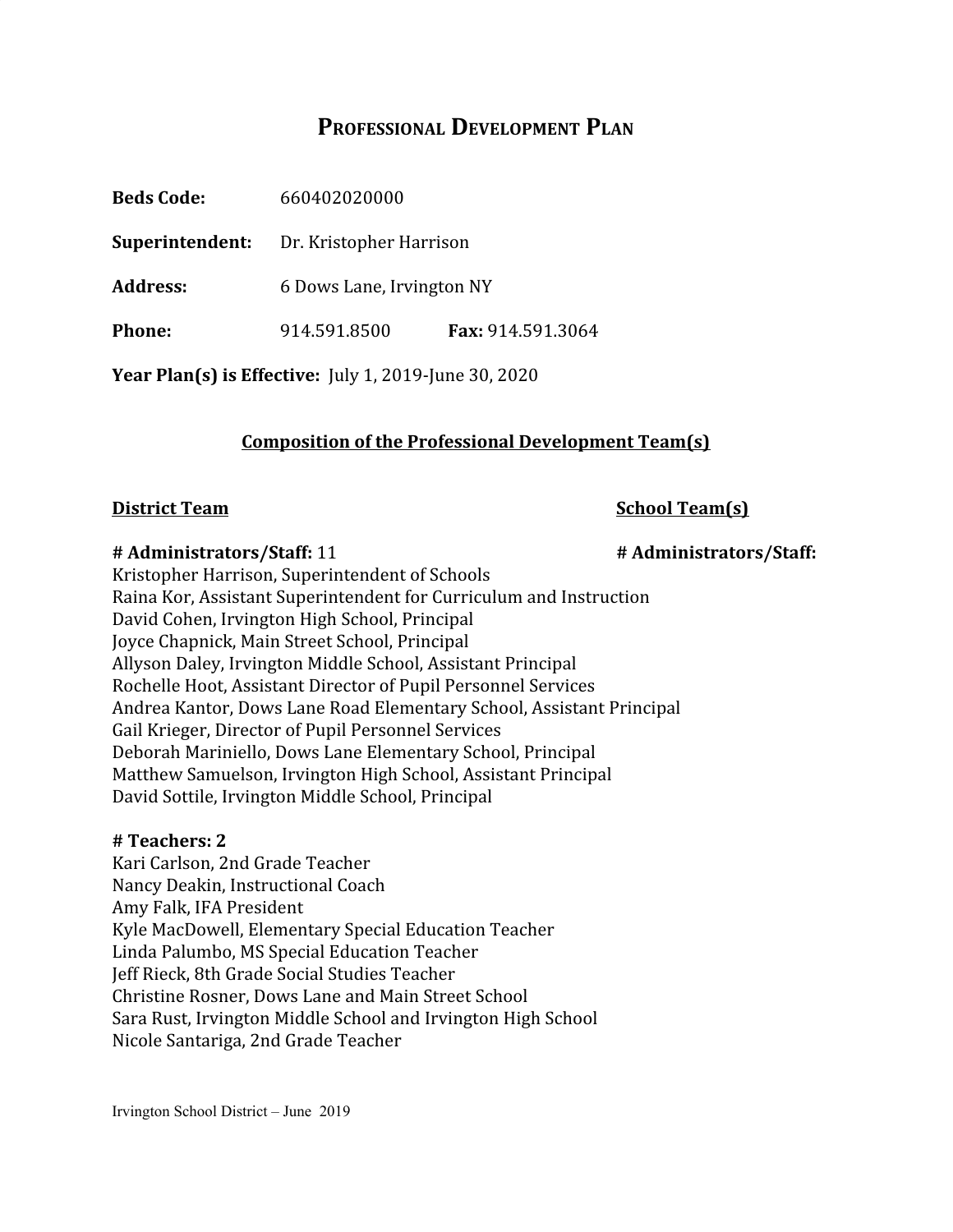# **PROFESSIONAL DEVELOPMENT PLAN**

| <b>Beds Code:</b>                                     | 660402020000              |                   |
|-------------------------------------------------------|---------------------------|-------------------|
| Superintendent:                                       | Dr. Kristopher Harrison   |                   |
| <b>Address:</b>                                       | 6 Dows Lane, Irvington NY |                   |
| <b>Phone:</b>                                         | 914.591.8500              | Fax: 914.591.3064 |
| Year Plan(s) is Effective: July 1, 2019-June 30, 2020 |                           |                   |

# **Composition of the Professional Development Team(s)**

#### **District Team School Team(s)**

#### **# Administrators/Staff:** 11 **# Administrators/Staff:**

Kristopher Harrison, Superintendent of Schools Raina Kor, Assistant Superintendent for Curriculum and Instruction David Cohen, Irvington High School, Principal Joyce Chapnick, Main Street School, Principal Allyson Daley, Irvington Middle School, Assistant Principal Rochelle Hoot, Assistant Director of Pupil Personnel Services Andrea Kantor, Dows Lane Road Elementary School, Assistant Principal Gail Krieger, Director of Pupil Personnel Services Deborah Mariniello, Dows Lane Elementary School, Principal Matthew Samuelson, Irvington High School, Assistant Principal David Sottile, Irvington Middle School, Principal

#### **# Teachers: 2**

Kari Carlson, 2nd Grade Teacher Nancy Deakin, Instructional Coach Amy Falk, IFA President Kyle MacDowell, Elementary Special Education Teacher Linda Palumbo, MS Special Education Teacher Jeff Rieck, 8th Grade Social Studies Teacher Christine Rosner, Dows Lane and Main Street School Sara Rust, Irvington Middle School and Irvington High School Nicole Santariga, 2nd Grade Teacher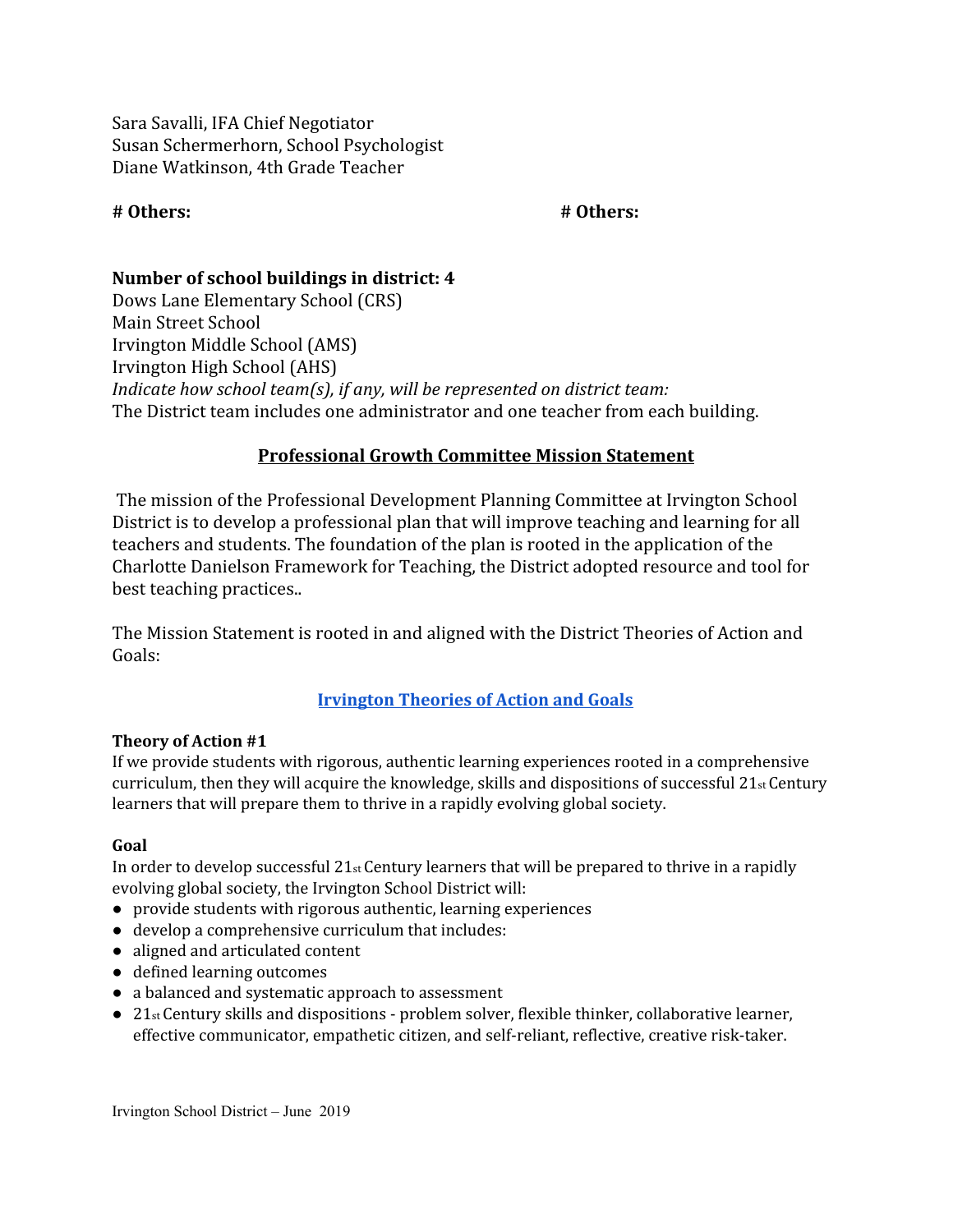Sara Savalli, IFA Chief Negotiator Susan Schermerhorn, School Psychologist Diane Watkinson, 4th Grade Teacher

#### **# Others: # Others:**

# **Number of school buildings in district: 4**

Dows Lane Elementary School (CRS) Main Street School Irvington Middle School (AMS) Irvington High School (AHS) *Indicate how school team(s), if any, will be represented on district team:* The District team includes one administrator and one teacher from each building.

#### **Professional Growth Committee Mission Statement**

 The mission of the Professional Development Planning Committee at Irvington School District is to develop a professional plan that will improve teaching and learning for all teachers and students. The foundation of the plan is rooted in the application of the Charlotte Danielson Framework for Teaching, the District adopted resource and tool for best teaching practices..

The Mission Statement is rooted in and aligned with the District Theories of Action and Goals:

#### **[Irvington](https://www.irvingtonschools.org/Page/2131) Theories of Action and Goals**

#### **Theory of Action #1**

If we provide students with rigorous, authentic learning experiences rooted in a comprehensive curriculum, then they will acquire the knowledge, skills and dispositions of successful  $21<sub>st</sub>Century$ learners that will prepare them to thrive in a rapidly evolving global society.

#### **Goal**

In order to develop successful  $21$ <sub>st</sub> Century learners that will be prepared to thrive in a rapidly evolving global society, the Irvington School District will:

- provide students with rigorous authentic, learning experiences
- develop a comprehensive curriculum that includes:
- aligned and articulated content
- defined learning outcomes
- a balanced and systematic approach to assessment
- 21<sub>st</sub> Century skills and dispositions problem solver, flexible thinker, collaborative learner, effective communicator, empathetic citizen, and self-reliant, reflective, creative risk-taker.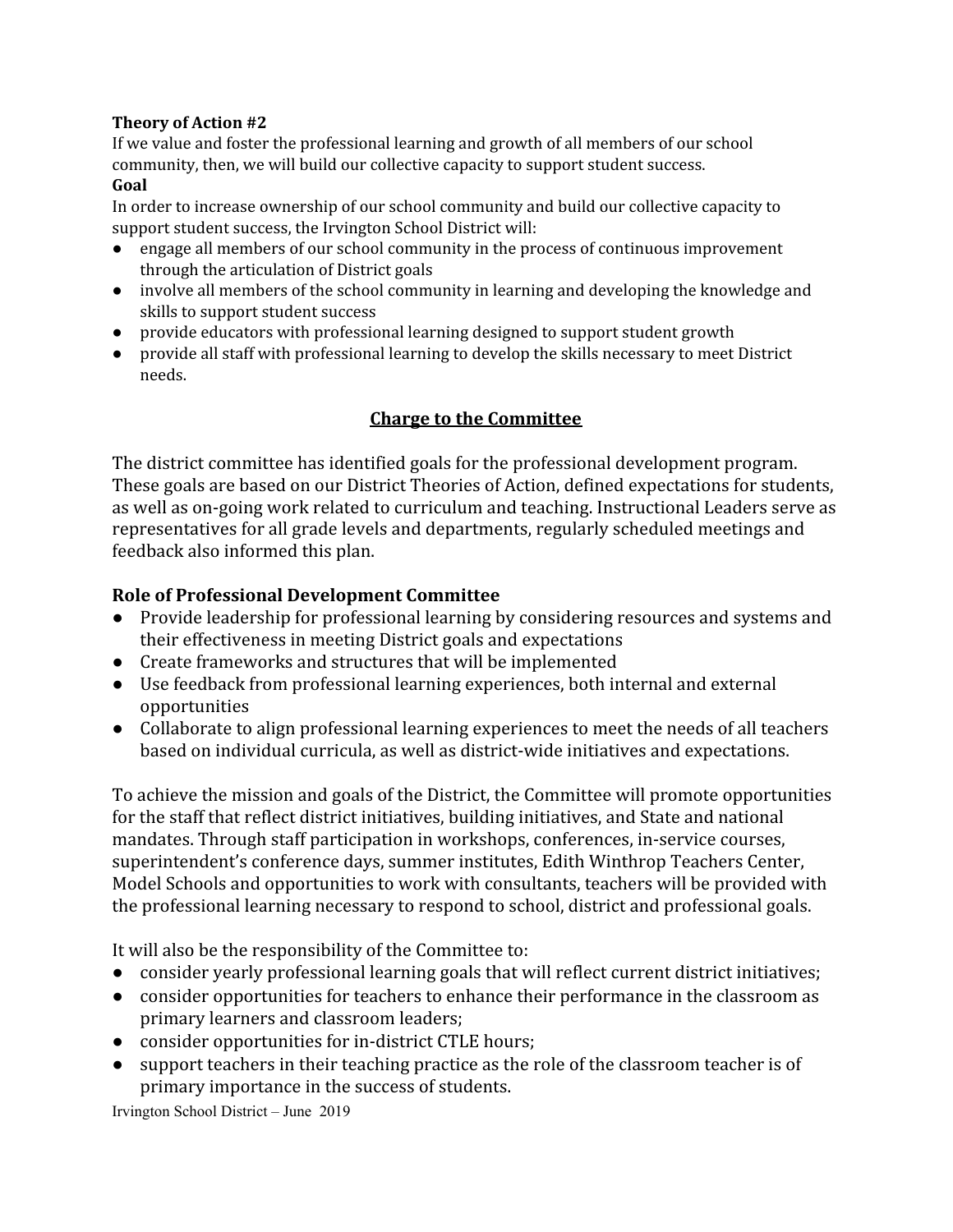#### **Theory of Action #2**

If we value and foster the professional learning and growth of all members of our school community, then, we will build our collective capacity to support student success. **Goal**

In order to increase ownership of our school community and build our collective capacity to support student success, the Irvington School District will:

- engage all members of our school community in the process of continuous improvement through the articulation of District goals
- involve all members of the school community in learning and developing the knowledge and skills to support student success
- provide educators with professional learning designed to support student growth
- provide all staff with professional learning to develop the skills necessary to meet District needs.

# **Charge to the Committee**

The district committee has identified goals for the professional development program. These goals are based on our District Theories of Action, defined expectations for students, as well as on-going work related to curriculum and teaching. Instructional Leaders serve as representatives for all grade levels and departments, regularly scheduled meetings and feedback also informed this plan.

## **Role of Professional Development Committee**

- Provide leadership for professional learning by considering resources and systems and their effectiveness in meeting District goals and expectations
- Create frameworks and structures that will be implemented
- Use feedback from professional learning experiences, both internal and external opportunities
- Collaborate to align professional learning experiences to meet the needs of all teachers based on individual curricula, as well as district-wide initiatives and expectations.

To achieve the mission and goals of the District, the Committee will promote opportunities for the staff that reflect district initiatives, building initiatives, and State and national mandates. Through staff participation in workshops, conferences, in-service courses, superintendent's conference days, summer institutes, Edith Winthrop Teachers Center, Model Schools and opportunities to work with consultants, teachers will be provided with the professional learning necessary to respond to school, district and professional goals.

It will also be the responsibility of the Committee to:

- consider yearly professional learning goals that will reflect current district initiatives;
- consider opportunities for teachers to enhance their performance in the classroom as primary learners and classroom leaders;
- consider opportunities for in-district CTLE hours;
- support teachers in their teaching practice as the role of the classroom teacher is of primary importance in the success of students.

Irvington School District – June 2019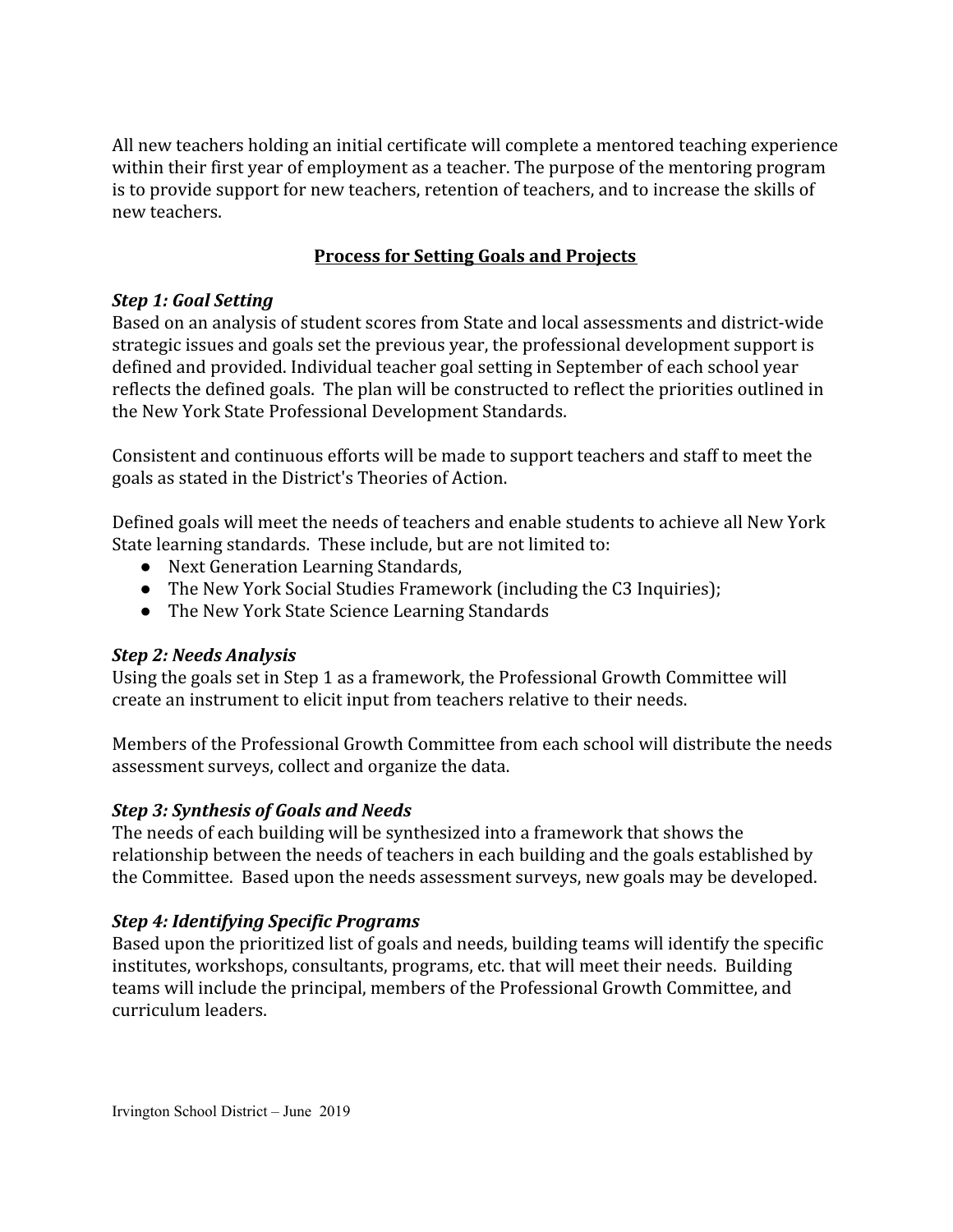All new teachers holding an initial certificate will complete a mentored teaching experience within their first year of employment as a teacher. The purpose of the mentoring program is to provide support for new teachers, retention of teachers, and to increase the skills of new teachers.

# **Process for Setting Goals and Projects**

## *Step 1: Goal Setting*

Based on an analysis of student scores from State and local assessments and district-wide strategic issues and goals set the previous year, the professional development support is defined and provided. Individual teacher goal setting in September of each school year reflects the defined goals. The plan will be constructed to reflect the priorities outlined in the New York State Professional Development Standards.

Consistent and continuous efforts will be made to support teachers and staff to meet the goals as stated in the District's Theories of Action.

Defined goals will meet the needs of teachers and enable students to achieve all New York State learning standards. These include, but are not limited to:

- Next Generation Learning Standards,
- The New York Social Studies Framework (including the C3 Inquiries);
- The New York State Science Learning Standards

# *Step 2: Needs Analysis*

Using the goals set in Step 1 as a framework, the Professional Growth Committee will create an instrument to elicit input from teachers relative to their needs.

Members of the Professional Growth Committee from each school will distribute the needs assessment surveys, collect and organize the data.

# *Step 3: Synthesis of Goals and Needs*

The needs of each building will be synthesized into a framework that shows the relationship between the needs of teachers in each building and the goals established by the Committee. Based upon the needs assessment surveys, new goals may be developed.

#### *Step 4: Identifying Specific Programs*

Based upon the prioritized list of goals and needs, building teams will identify the specific institutes, workshops, consultants, programs, etc. that will meet their needs. Building teams will include the principal, members of the Professional Growth Committee, and curriculum leaders.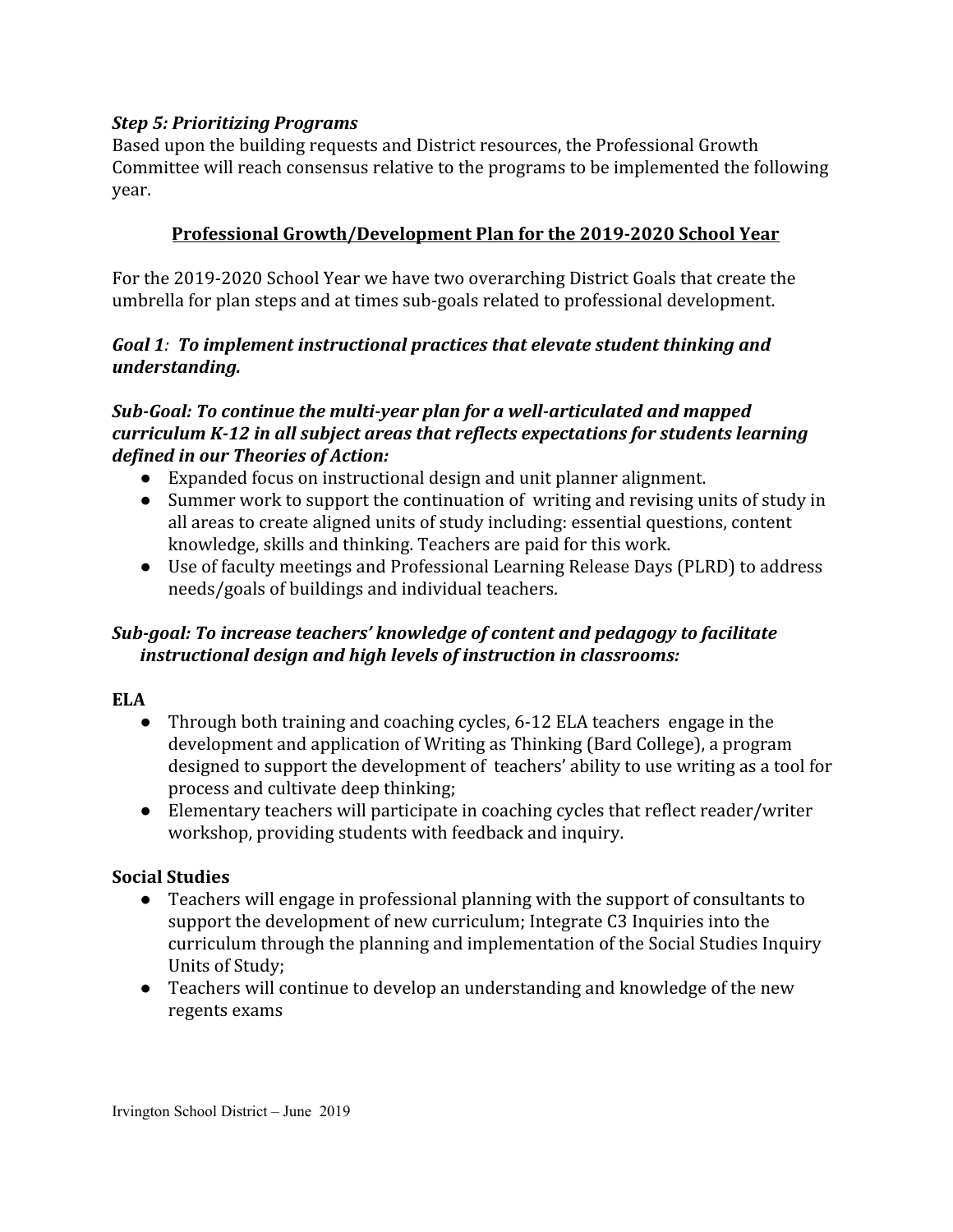### *Step 5: Prioritizing Programs*

Based upon the building requests and District resources, the Professional Growth Committee will reach consensus relative to the programs to be implemented the following year.

# **Professional Growth/Development Plan for the 2019-2020 School Year**

For the 2019-2020 School Year we have two overarching District Goals that create the umbrella for plan steps and at times sub-goals related to professional development.

#### *Goal 1: To implement instructional practices that elevate student thinking and understanding.*

# *Sub-Goal: To continue the multi-year plan for a well-articulated and mapped curriculum K-12 in all subject areas that reflects expectations for students learning defined in our Theories of Action:*

- Expanded focus on instructional design and unit planner alignment.
- Summer work to support the continuation of writing and revising units of study in all areas to create aligned units of study including: essential questions, content knowledge, skills and thinking. Teachers are paid for this work.
- Use of faculty meetings and Professional Learning Release Days (PLRD) to address needs/goals of buildings and individual teachers.

# *Sub-goal: To increase teachers' knowledge of content and pedagogy to facilitate instructional design and high levels of instruction in classrooms:*

#### **ELA**

- Through both training and coaching cycles, 6-12 ELA teachers engage in the development and application of Writing as Thinking (Bard College), a program designed to support the development of teachers' ability to use writing as a tool for process and cultivate deep thinking;
- Elementary teachers will participate in coaching cycles that reflect reader/writer workshop, providing students with feedback and inquiry.

#### **Social Studies**

- Teachers will engage in professional planning with the support of consultants to support the development of new curriculum; Integrate C3 Inquiries into the curriculum through the planning and implementation of the Social Studies Inquiry Units of Study;
- Teachers will continue to develop an understanding and knowledge of the new regents exams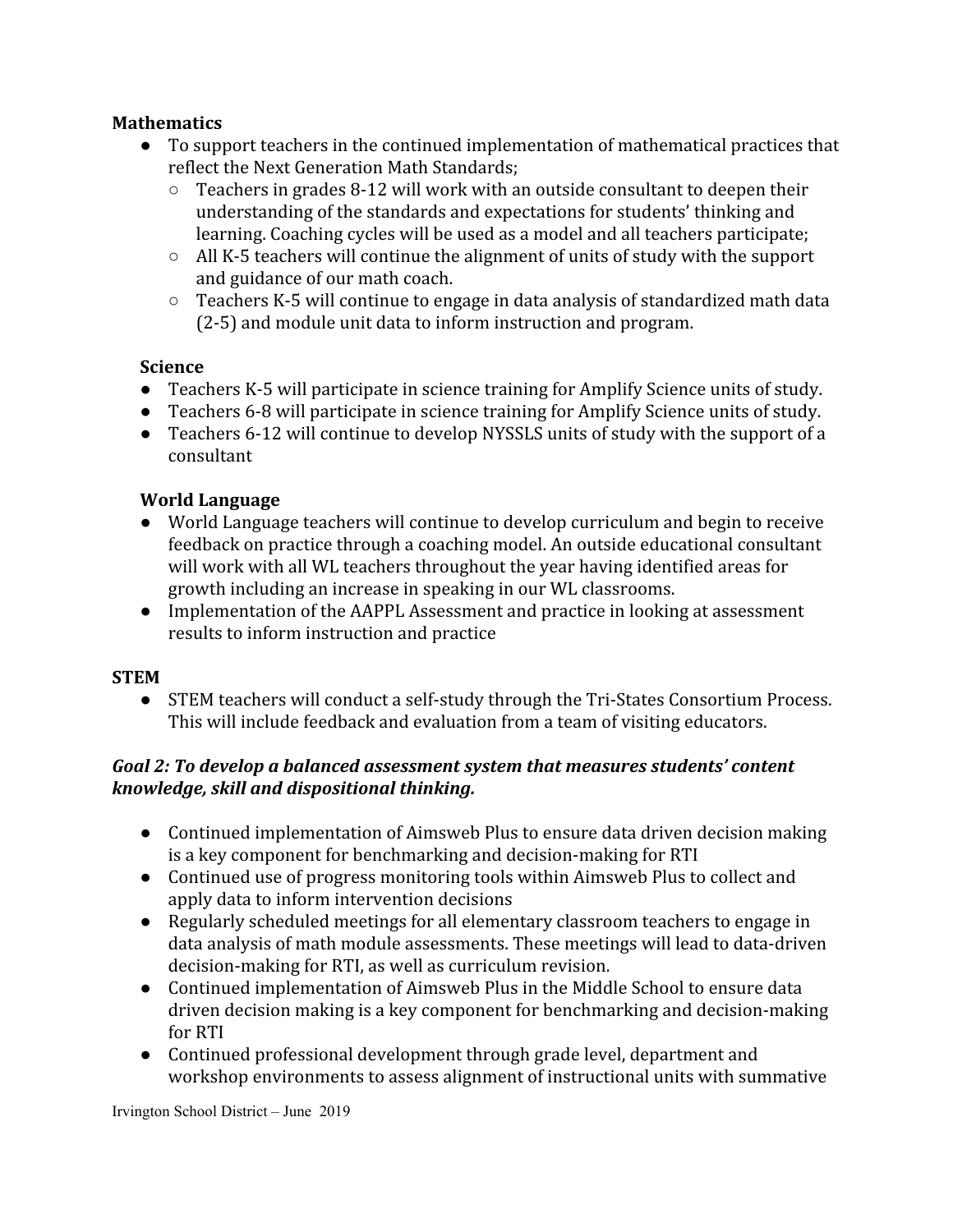# **Mathematics**

- To support teachers in the continued implementation of mathematical practices that reflect the Next Generation Math Standards;
	- $\circ$  Teachers in grades 8-12 will work with an outside consultant to deepen their understanding of the standards and expectations for students' thinking and learning. Coaching cycles will be used as a model and all teachers participate;
	- All K-5 teachers will continue the alignment of units of study with the support and guidance of our math coach.
	- Teachers K-5 will continue to engage in data analysis of standardized math data (2-5) and module unit data to inform instruction and program.

## **Science**

- **●** Teachers K-5 will participate in science training for Amplify Science units of study.
- **●** Teachers 6-8 will participate in science training for Amplify Science units of study.
- **●** Teachers 6-12 will continue to develop NYSSLS units of study with the support of a consultant

# **World Language**

- World Language teachers will continue to develop curriculum and begin to receive feedback on practice through a coaching model. An outside educational consultant will work with all WL teachers throughout the year having identified areas for growth including an increase in speaking in our WL classrooms.
- Implementation of the AAPPL Assessment and practice in looking at assessment results to inform instruction and practice

#### **STEM**

● STEM teachers will conduct a self-study through the Tri-States Consortium Process. This will include feedback and evaluation from a team of visiting educators.

# *Goal 2: To develop a balanced assessment system that measures students' content knowledge, skill and dispositional thinking.*

- Continued implementation of Aimsweb Plus to ensure data driven decision making is a key component for benchmarking and decision-making for RTI
- Continued use of progress monitoring tools within Aimsweb Plus to collect and apply data to inform intervention decisions
- Regularly scheduled meetings for all elementary classroom teachers to engage in data analysis of math module assessments. These meetings will lead to data-driven decision-making for RTI, as well as curriculum revision.
- Continued implementation of Aimsweb Plus in the Middle School to ensure data driven decision making is a key component for benchmarking and decision-making for RTI
- Continued professional development through grade level, department and workshop environments to assess alignment of instructional units with summative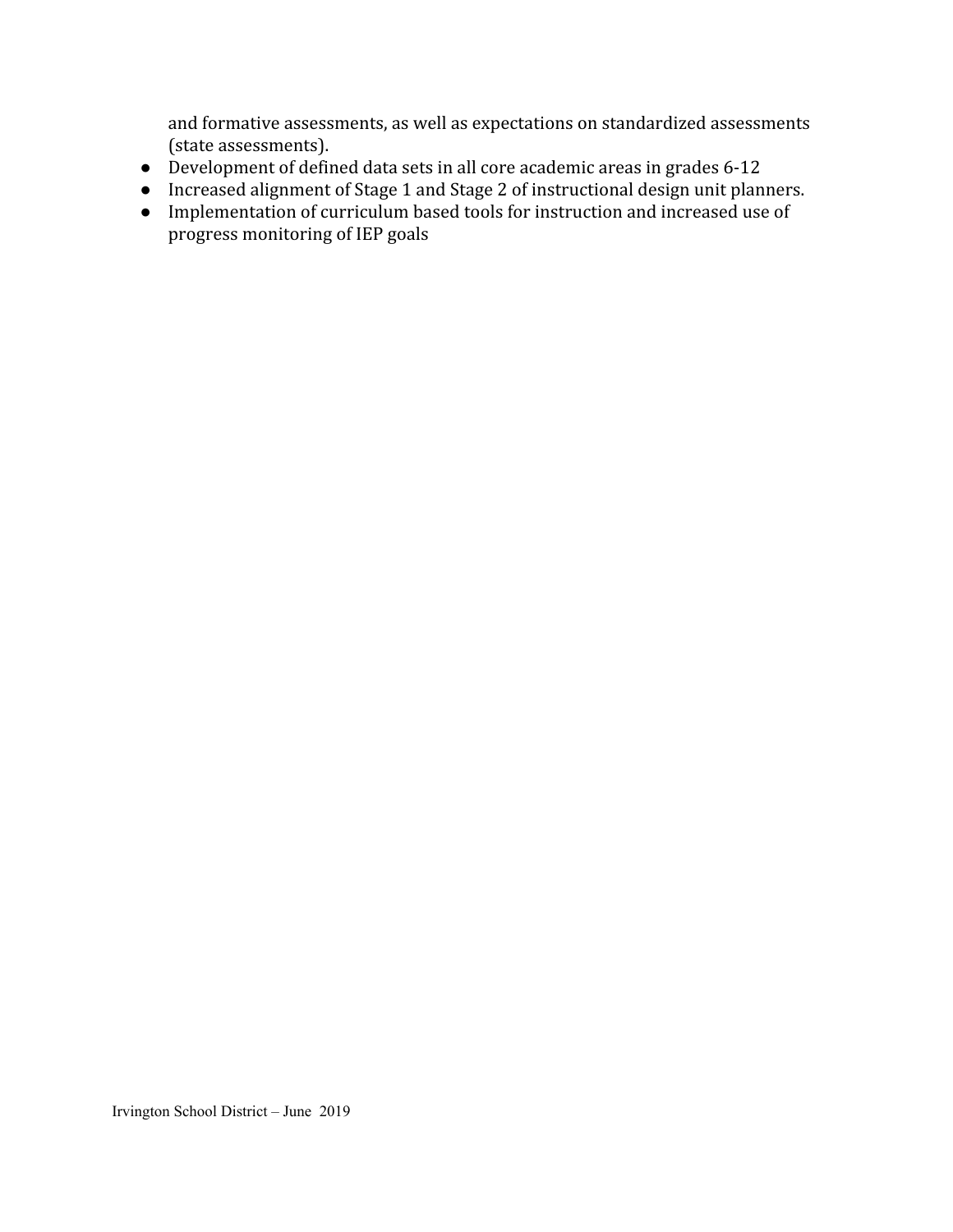and formative assessments, as well as expectations on standardized assessments (state assessments).

- Development of defined data sets in all core academic areas in grades 6-12
- Increased alignment of Stage 1 and Stage 2 of instructional design unit planners.
- Implementation of curriculum based tools for instruction and increased use of progress monitoring of IEP goals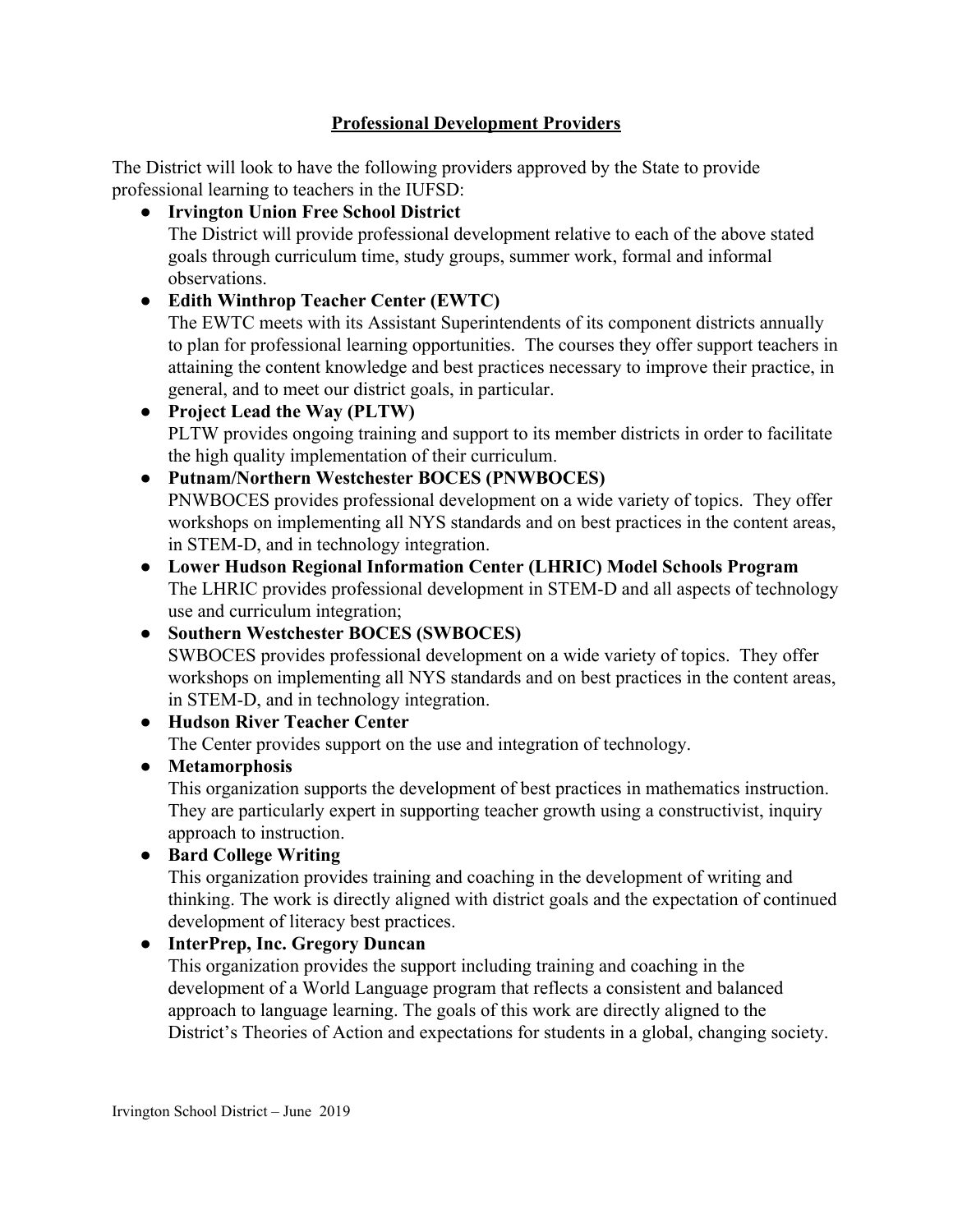# **Professional Development Providers**

The District will look to have the following providers approved by the State to provide professional learning to teachers in the IUFSD:

● **Irvington Union Free School District**

The District will provide professional development relative to each of the above stated goals through curriculum time, study groups, summer work, formal and informal observations.

● **Edith Winthrop Teacher Center (EWTC)**

The EWTC meets with its Assistant Superintendents of its component districts annually to plan for professional learning opportunities. The courses they offer support teachers in attaining the content knowledge and best practices necessary to improve their practice, in general, and to meet our district goals, in particular.

- **Project Lead the Way (PLTW)** PLTW provides ongoing training and support to its member districts in order to facilitate the high quality implementation of their curriculum.
- **● Putnam/Northern Westchester BOCES (PNWBOCES)**

PNWBOCES provides professional development on a wide variety of topics. They offer workshops on implementing all NYS standards and on best practices in the content areas, in STEM-D, and in technology integration.

- **Lower Hudson Regional Information Center (LHRIC) Model Schools Program** The LHRIC provides professional development in STEM-D and all aspects of technology use and curriculum integration;
- **● Southern Westchester BOCES (SWBOCES)** SWBOCES provides professional development on a wide variety of topics. They offer workshops on implementing all NYS standards and on best practices in the content areas, in STEM-D, and in technology integration.
- **Hudson River Teacher Center** The Center provides support on the use and integration of technology.
- **Metamorphosis**

This organization supports the development of best practices in mathematics instruction. They are particularly expert in supporting teacher growth using a constructivist, inquiry approach to instruction.

● **Bard College Writing**

This organization provides training and coaching in the development of writing and thinking. The work is directly aligned with district goals and the expectation of continued development of literacy best practices.

# ● **InterPrep, Inc. Gregory Duncan**

This organization provides the support including training and coaching in the development of a World Language program that reflects a consistent and balanced approach to language learning. The goals of this work are directly aligned to the District's Theories of Action and expectations for students in a global, changing society.